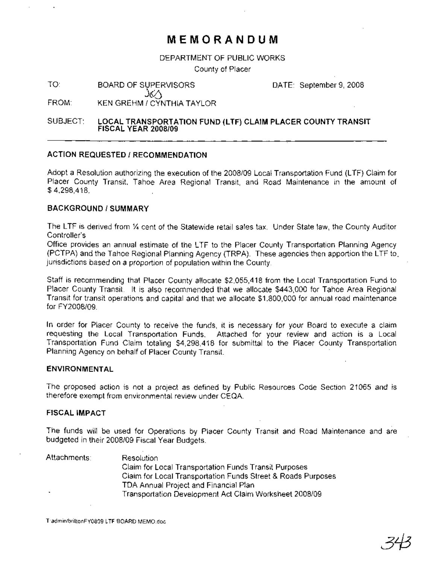## **MEMORANDUM**

DEPARTMENT OF PUBLIC WORKS

County of Placer

TO: BOARD OF SUPERVISORS DATE: September 9, 2008

FROM: KEN GREHM 1CYNTHIA TAYLOR

JEA

SUBJECT: LOCAL TRANSPORTATION FUND (LTF) CLAIM PLACER COUNTY TRANSIT FISCAL YEAR *2008/09*

#### ACTION REQUESTED / RECOMMENDATION

Adopt a Resolution authorizing the execution of the 2008/09 Local Transportation Fund (LTF) Claim for Placer County Transit, Tahoe Area Regional Transit, and Road Maintenance in the amount of \$ 4,298,418.

#### BACKGROUND / SUMMARY

The LTF is derived from % cent of the Statewide retail sales tax. Under State law, the County Auditor Controller's

Office provides an annual estimate of the LTF to the Placer County Transportation Planning Agency (PCTPA) and the Tahoe Regional Planning Agency (TRPA). These agencies then apportion the LTF to. jurisdictions based on a proportion of population within the County.

Staff is recommending that Placer County allocate \$2,055,418 from the Local Transportation Fund to Placer County Transit. It is also recommended that we allocate \$443,000 for Tahoe Area Regional Transit for transit operations and capital and that we allocate \$1,800,000 for annual road maintenance for FY2008/09.

In order for Placer County to receive the funds, it is necessary for your Board to execute a claim requesting the Local Transportation Funds. Attached for your review and action is a Local Transportation Fund Claim totaling \$4,298,418 for submittal to the Placer County Transportation Planning Agency on behalf of Placer County Transit.

#### ENVIRONMENTAL

The proposed action is not a project as defined by Public Resources Code Section 21065 and is therefore exempt from environmental review under CEQA.

#### FISCALIMPACT

The funds will be used for Operations by Placer County Transit and Road Maintenance and are budgeted in their 2008/09 Fiscal Year Budgets.

| Attachments: | <b>Resolution</b>                                            |
|--------------|--------------------------------------------------------------|
|              | Claim for Local Transportation Funds Transit Purposes        |
|              | Claim for Local Transportation Funds Street & Roads Purposes |
|              | TDA Annual Project and Financial Plan                        |
| . .          | Transportation Development Act Claim Worksheet 2008/09       |

T:admin/brittonFY0809 LTF BOARD MEMO.doc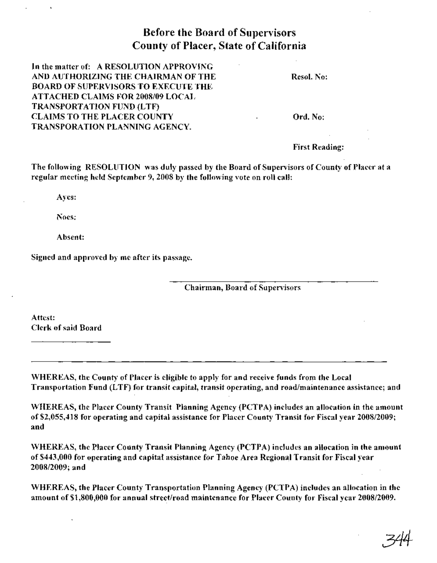## Before the Board of Supervisors County of Placer, State of California

In the matter of: A RESOLUTION APPROVING AND AUTHORIZING THE CHAIRMAN OF THE BOARD OF SUPERVISORS TO EXECUTE THE ATTACHED CLAIMS FOR 2008/09 LOCAL TRANSPORTATION FUND (LTF) CLAIMS TO THE PLACER COUNTY TRANSPORATION PLANNING AGENCY.

Resol. No:

Ord. No:

First Reading:

The following RESOLUTION was duly passed by the Board of Supervisors of County of Placer at a regular meeting held September 9, 2008 by the following vote on roll call:

Ayes:

Noes:

Absent:

Signed and approved by me after its passage.

Chairman, Board of Supervisors

Attest: Clerk of said Board

WHEREAS, the County of Placer is eligible to apply for and receive funds from the Local Transportation Fund (LTF) for transit capital, transit operating, and road/maintenance assistance; and

WHEREAS, the Placer County Transit Planning Agency (PCTPA) includes an allocation in the amount of \$2,055,418 for operating and capital assistance for Placer County Transit for Fiscal year 2008/2009; and

WHEREAS, the Placer County Transit Planning Agency (PCTPA) includes an allocation in the amount of \$443,000 for operating and capital assistance for Tahoe Area Regional Transit for Fiscal year 2008/2009; and

WHEREAS, the Placer County Transportation Planning Agency (PCTPA) includes an allocation in the amount of \$1,800,000 for annual street/road maintenance for Placer County for Fiscal year 2008/2009.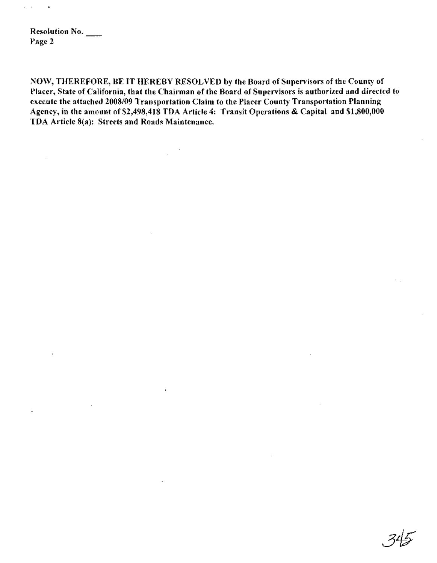Resolution No. Page 2

NOW, THEREFORE, BE **IT** HEREBY RESOLVED by the Board of Supervisors of the County of Placer, State of California, that the Chairman of the Board of Supervisors is authorized and directed to execute the attached *2008/09* Transportation Claim to the Placer County Transportation Planning Agency, in the amount of \$2,498,418 TDA Article 4: Transit Operations & Capital and \$1,800,000 TDA Article 8(a): Streets and Roads Maintenance.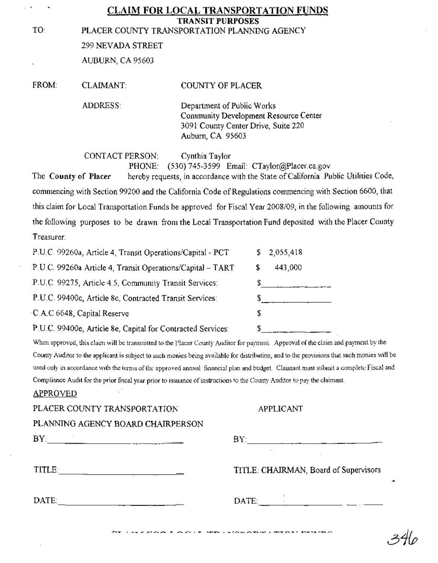|                   | <b>TRANSIT PURPOSES</b>                                                                                                                                    |
|-------------------|------------------------------------------------------------------------------------------------------------------------------------------------------------|
|                   | PLACER COUNTY TRANSPORTATION PLANNING AGENCY                                                                                                               |
| 299 NEVADA STREET |                                                                                                                                                            |
| AUBURN, CA 95603  |                                                                                                                                                            |
| <b>CLAIMANT:</b>  | COUNTY OF PLACER                                                                                                                                           |
| <b>ADDRESS:</b>   | Department of Public Works<br>Community Development Resource Center<br>3091 County Center Drive, Suite 220<br>Auburn, CA 95603                             |
| CONTACT PERSON:   | Cynthia Taylor<br>PHONE: (530) 745-3599 Email: CTaylor(@Placer.ca.gov<br>becahy compasse in accordance with the State of California. Public Utilities Code |
|                   | The County of Places                                                                                                                                       |

The County of Placer hereby requests, in accordance with the State ofCalifornia Public Utilities Code, commencing with Section 99200 and the California Code of Regulations commencing with Section 6600, that this claim for Local Transportation Funds be approved for Fiscal Year 2008/09, in the following amounts for the following purposes to be drawn from the Local Transportation Fund deposited with the Placer County Treasurer:

| P.U.C. 99260a, Article 4, Transit Operations/Capital - PCT  | 2,055,418    |
|-------------------------------------------------------------|--------------|
| P.U.C. 99260a Article 4, Transit Operations/Capital - TART  | 443,000<br>S |
| P.U.C. 99275, Article 4.5, Community Transit Services:      |              |
| P.U.C. 99400c, Article 8c, Contracted Transit Services:     |              |
| C.A.C 6648, Capital Reserve                                 | S            |
| P.U.C. 99400e, Article 8e, Capital for Contracted Services: |              |

When approved, this claim will be transmitted to the Placer County Auditor for payment. Approval of the claim and payment by the County Auditor to the applicant is subject to such monies being available for distribution, and to the provisions that such monies will be used only in accordance with the terms of the approved annual financial plan and budget. Claimant must submit a complete Fiscal and Compliance Audit for the prior fiscal year prior to issuance of instructions to the County Auditor to pay the claimant.

#### APPROVED

| PLACER COUNTY TRANSPORTATION      | <b>APPLICANT</b>                                            |
|-----------------------------------|-------------------------------------------------------------|
| PLANNING AGENCY BOARD CHAIRPERSON |                                                             |
|                                   | BY:                                                         |
| TITLE:                            | TITLE: CHAIRMAN, Board of Supervisors                       |
| DATE:                             | DATE:<br><u> 1990 - Johann John Harry Harry Harry Harry</u> |
|                                   |                                                             |

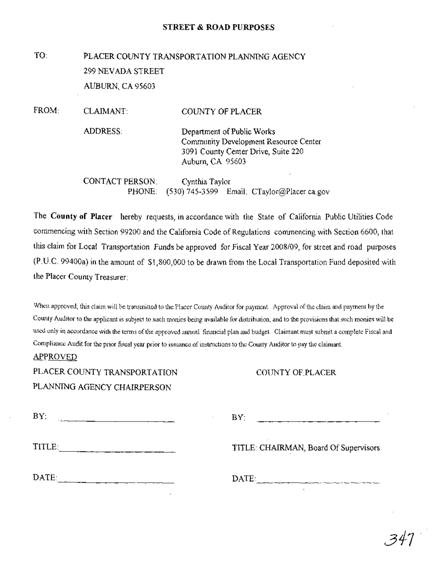#### STREET & ROAD PURPOSES

# TO: PLACER COUNTY TRANSPORTATION PLANNING AGENCY 299 NEVADA STREET AUBURN, CA 95603

FROM: CLAIMANT: ADDRESS: CONTACT PERSON: PHONE: COUNTY OF PLACER Department of Public Works Community Development Resource Center 3091 County Center Drive, Suite 220 Auburn, CA 95603 Cynthia Taylor (530) 745-3599 Email: CTaylor@Placer.ca.gov

The County of Placer hereby requests, in accordance with the State of California Public Utilities Code commencing with Section 99200 and the California Code of Regulations commencing with Section 6600, that this claim for Local Transportation Funds be approved for Fiscal Year 2008/09, for street and road purposes (P.u.e. 99400a) in the amount of \$1,800,000 to be drawn from the Local Transportation Fund deposited with the Placer County Treasurer:

When approved, this claim will be transmitted to the Placer County Auditor for payment. Approval ofthe claim and payment by the County Auditor to the applicant is subject to such monies being available for distribution, and to the provisions that such monies will be used only in accordance with the terms of the approved annual financial plan and budget. Claimant must submit a complete Fiscal and Compliance Audit for the prior fiscal year prior to issuance of instructions to the County Auditor to pay the claimant.

#### APPROVED

PLACER COUNTY TRANSPORTATION PLANNING AGENCY CHAIRPERSON

#### COUNTY OF.PLACER

| BY:    | BY:                                   |
|--------|---------------------------------------|
| TITLE: | TITLE: CHAIRMAN, Board Of Supervisors |
| DATE:  | DATE:                                 |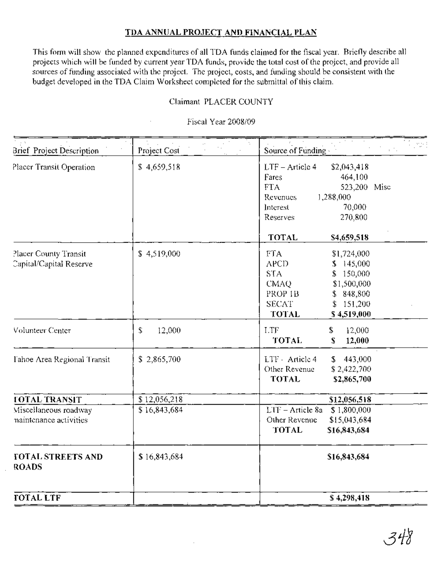#### **TDA ANNUAL PROJECT AND FINANCIAL PLAN**

This form will show the planned expenditures of all TDA funds claimed for the fiscal year. Briefly describe all projects which will be funded by current year TDA funds, provide the total cost ofthe project, and provide all sources of funding associated with the project. The project, costs, and funding should be consistent with the budget developed in the TDA Claim Worksheet completed for the submittal ofthis claim.

#### Claimant PLACER COUNTY

#### Fiscal Year 2008/09

| Brief Project Description                        | Project Cost | Source of Funding                                                                                                                                                                        |
|--------------------------------------------------|--------------|------------------------------------------------------------------------------------------------------------------------------------------------------------------------------------------|
| Placer Transit Operation                         | \$4,659,518  | $LTF - Article 4$<br>\$2,043,418<br>464,100<br>Fares<br>523,200 Misc<br>FTA.<br>1,288,000<br><b>Revenues</b><br>70,000<br>Interest<br>270,800<br>Reserves<br><b>TOTAL</b><br>\$4,659,518 |
| Placer County Transit<br>Capital/Capital Reserve | \$4,519,000  | FTA.<br>\$1,724,000<br><b>APCD</b><br>\$145,000<br><b>STA</b><br>\$150,000<br><b>CMAQ</b><br>\$1,500,000<br>PROP IB<br>\$848,800<br><b>SECAT</b><br>\$151,200<br>TOTAL<br>\$4,519,000    |
| Volunteer Center                                 | 12,000<br>\$ | LTF<br>\$<br>12,000<br><b>TOTAL</b><br>$\mathbf S$<br>12,000                                                                                                                             |
| Tahoe Area Regional Transit                      | \$2,865,700  | 443,000<br>LTF - Article 4<br>S.<br>Other Revenue<br>\$2,422,700<br><b>TOTAL</b><br>\$2,865,700                                                                                          |
| <b>FOTAL TRANSIT</b>                             | \$12,056,218 | \$12,056,518                                                                                                                                                                             |
| Miscellaneous roadway<br>naintenance activities  | \$16,843,684 | $\overline{\text{LTF}}$ – Article 8a \$ 1,800,000<br>Other Revenue<br>\$15,043,684<br>TOTAL<br>\$16,843,684                                                                              |
| TOTAL STREETS AND<br><b>ROADS</b>                | \$16,843,684 | \$16,843,684                                                                                                                                                                             |
| <b>TOTAL LTF</b>                                 |              | \$4,298,418                                                                                                                                                                              |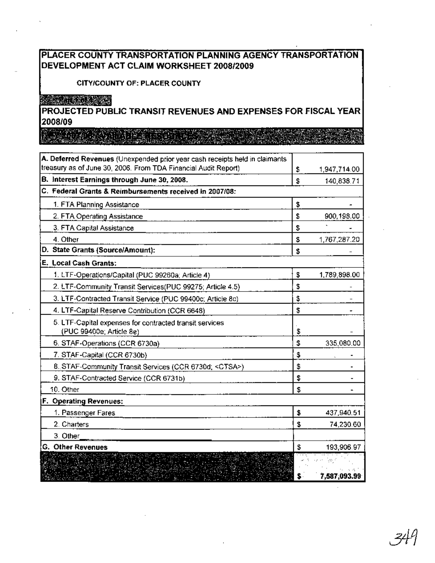#### PLACER COUNTY TRANSPORTATION PLANNING AGENCY TRANSPORTATION DEVELOPMENT ACT CLAIM WORKSHEET *2008/2009*

#### CITY/COUNTY OF: PLACER COUNTY

# A CAN MUSIC CONDI

PROJECTED PUBLIC TRANSIT REVENUES AND EXPENSES FOR FISCAL YEAR 2008/09

an dina kacamatan Santa Ba

| A. Deferred Revenues (Unexpended prior year cash receipts held in claimants<br>treasury as of June 30, 2006. From TDA Financial Audit Report) |    |              |
|-----------------------------------------------------------------------------------------------------------------------------------------------|----|--------------|
|                                                                                                                                               | \$ | 1,947,714.00 |
| B. Interest Earnings through June 30, 2008.                                                                                                   | S  | 140,838.71   |
| C. Federal Grants & Reimbursements received in 2007/08:                                                                                       |    |              |
| 1. FTA Planning Assistance                                                                                                                    | \$ |              |
| 2. FTA Operating Assistance                                                                                                                   | \$ | 900,198.00   |
| 3. FTA Capital Assistance                                                                                                                     | \$ |              |
| 4. Other                                                                                                                                      | \$ | 1,767,287.20 |
| D. State Grants (Source/Amount):                                                                                                              | \$ |              |
| E. Local Cash Grants:                                                                                                                         |    |              |
| 1. LTF-Operations/Capital (PUC 99260a; Article 4)                                                                                             | \$ | 1,789,898.00 |
| 2. LTF-Community Transit Services(PUC 99275; Article 4.5)                                                                                     | \$ |              |
| 3. LTF-Contracted Transit Service (PUC 99400c; Article 8c)                                                                                    | \$ |              |
| 4. LTF-Capital Reserve Contribution (CCR 6648)                                                                                                | \$ |              |
| 5. LTF-Capital expenses for contracted transit services<br>(PUC 99400e; Article 8e)                                                           | \$ |              |
| 6. STAF-Operations (CCR 6730a)                                                                                                                | \$ | 335,080.00   |
| 7. STAF-Capital (CCR 6730b)                                                                                                                   | \$ |              |
| 8. STAF-Community Transit Services (CCR 6730d; <ctsa>)</ctsa>                                                                                 | \$ |              |
| 9. STAF-Contracted Service (CCR 6731b)                                                                                                        | \$ |              |
| 10. Other                                                                                                                                     | \$ |              |
| F. Operating Revenues:                                                                                                                        |    |              |
| 1. Passenger Fares                                                                                                                            | \$ | 437,940.51   |
| 2. Charters                                                                                                                                   | \$ | 74,230.60    |
| 3. Other                                                                                                                                      |    |              |
| G. Other Revenues                                                                                                                             | \$ | 193,906.97   |
| La de la Terresa de la Caraca.<br>Varia de la Tarra de la Caraca de la Caraca.                                                                |    |              |
| <b>All Marshall</b>                                                                                                                           |    | 7,587,093.99 |

 $\mathcal{L}$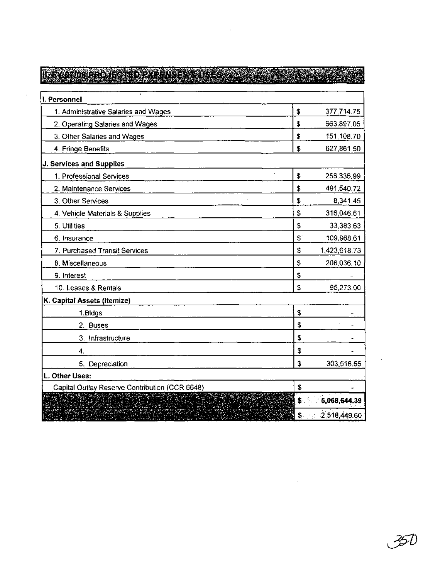| 1. Personnel                                   |     |              |
|------------------------------------------------|-----|--------------|
| 1. Administrative Salaries and Wages           | \$  | 377,714.75   |
| 2. Operating Salaries and Wages                | Ż,  | 663,897.05   |
| 3. Other Salaries and Wages                    | \$  | 151,108.70   |
| 4. Fringe Benefits                             | \$  | 627,861.50   |
| J. Services and Supplies                       |     |              |
| 1. Professional Services                       | \$  | 258,336.99   |
| 2. Maintenance Services                        | \$  | 491,540.72   |
| 3. Other Services                              | \$  | 8,341.45     |
| 4. Vehicle Materials & Supplies                | \$  | 316,046.61   |
| 5. Utilities                                   | \$  | 33,383.63    |
| 6. Insurance                                   | \$  | 109,968.61   |
| 7. Purchased Transit Services                  | \$  | 1,423,618.73 |
| 8. Miscellaneous                               | \$  | 208,036.10   |
| 9. Interest                                    | \$  |              |
| 10. Leases & Rentals                           | \$  | 95,273.00    |
| K. Capital Assets (Itemize)                    |     |              |
| 1.Bldgs                                        | \$  |              |
| 2. Buses                                       | \$  |              |
| 3. Infrastructure                              | \$  |              |
| 4.                                             | \$  |              |
| 5. Depreciation                                | \$  | 303,516.55   |
| L. Other Uses:                                 |     |              |
| Capital Outlay Reserve Contribution (CCR 6648) | \$  |              |
|                                                | \$. | 5,068,644.39 |
|                                                | \$. | 2,518,449.60 |

 $\mathcal{L}^{\mathcal{L}}(\mathcal{L}^{\mathcal{L}})$  . The set of  $\mathcal{L}^{\mathcal{L}}(\mathcal{L}^{\mathcal{L}})$ 

, 351

 $\mathcal{L}^{\text{max}}_{\text{max}}$  and  $\mathcal{L}^{\text{max}}_{\text{max}}$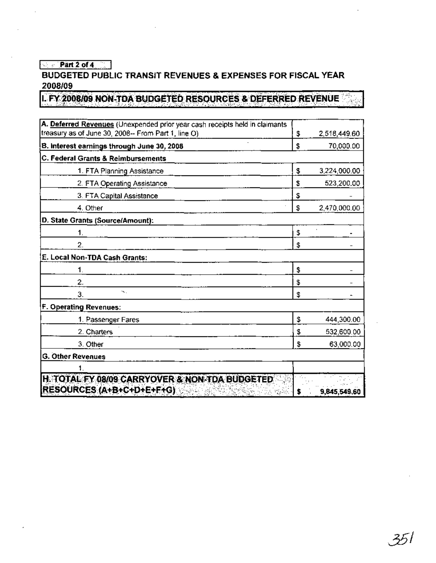#### $\sqrt{2 \cdot 2 \cdot 4}$

#### BUDGETED PUBLIC TRANSIT REVENUES & EXPENSES FOR FISCAL YEAR 2008/09

L FY 2008/09 NON-TDA BUDGETED RESOURCES & DEFERRED REVENUE

| A. Deferred Revenues (Unexpended prior year cash receipts held in claimants |    |              |
|-----------------------------------------------------------------------------|----|--------------|
| treasury as of June 30, 2008-- From Part 1, line O)                         | \$ | 2,518,449.60 |
| B. Interest earnings through June 30, 2008                                  | \$ | 70,000.00    |
| C. Federal Grants & Reimbursements                                          |    |              |
| 1. FTA Planning Assistance                                                  | \$ | 3,224,000.00 |
| 2. FTA Operating Assistance                                                 | \$ | 523,200.00   |
| 3. FTA Capital Assistance                                                   | s  |              |
| 4. Other                                                                    | \$ | 2,470,000.00 |
| D. State Grants (Source/Amount):                                            |    |              |
| 1.                                                                          | \$ |              |
| 2.                                                                          | \$ |              |
| E. Local Non-TDA Cash Grants:                                               |    |              |
| 1.                                                                          | \$ |              |
| 2.                                                                          | \$ |              |
| $\sim$<br>З.                                                                | \$ |              |
| F. Operating Revenues:                                                      |    |              |
| 1. Passenger Fares                                                          | \$ | 444,300.00   |
| 2. Charters                                                                 | \$ | 532,600.00   |
| 3. Other                                                                    | \$ | 63,000.00    |
| <b>G. Other Revenues</b>                                                    |    |              |
|                                                                             |    |              |
| H. TOTAL EY 08/09 CARRYOVER & NON-TDA BUDGETED                              |    |              |
| RESOURCES (A+B+C+D+E+F+G)                                                   | \$ | 9,845,549,60 |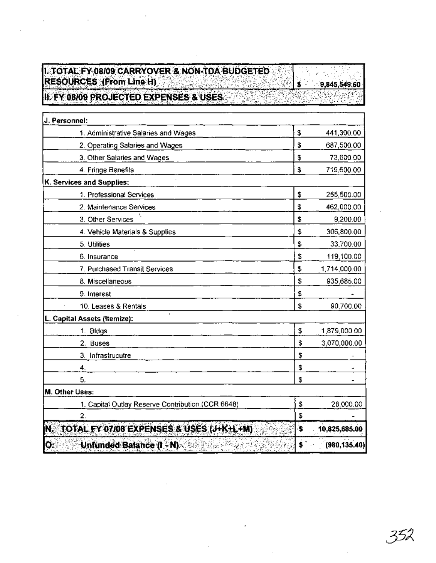# **ILTOTAL FY 08/09 CARRYOVER & NON-TOA BUDGETED** RESOURCES (From Line H)

9,845,549.60

 $\mathbf{s}$ .

II. FY 08/09 PROJECTED EXPENSES & USES

| J. Personnel:                                     |    |               |
|---------------------------------------------------|----|---------------|
| 1. Administrative Salaries and Wages              | \$ | 441,300.00    |
| 2. Operating Salaries and Wages                   | \$ | 687,500.00    |
| 3. Other Salaries and Wages                       | \$ | 73,600.00     |
| 4. Fringe Benefits                                | \$ | 719,600.00    |
| K. Services and Supplies:                         |    |               |
| 1. Professional Services                          | \$ | 255,500.00    |
| 2. Maintenance Services                           | \$ | 462,000.00    |
| 3. Other Services                                 | \$ | 9,200.00      |
| 4. Vehicle Materials & Supplies                   | \$ | 306,800.00    |
| 5. Utilities                                      | \$ | 33,700.00     |
| 6. Insurance                                      | \$ | 119,100.00    |
| 7. Purchased Transit Services                     | \$ | 1,714,000.00  |
| 8. Miscellaneous                                  | \$ | 935,685.00    |
| 9. Interest                                       | \$ |               |
| 10. Leases & Rentals                              | \$ | 90,700.00     |
| L. Capital Assets (Itemize):                      |    |               |
| 1. Bidgs                                          | \$ | 1,879,000.00  |
| 2.<br><b>Buses</b>                                | \$ | 3,070,000.00  |
| 3. Infrastrucutre                                 | \$ |               |
| 4.                                                | \$ |               |
| 5.                                                | \$ |               |
| M. Other Uses:                                    |    |               |
| 1. Capital Outlay Reserve Contribution (CCR 6648) | \$ | 28,000.00     |
| 2.                                                | \$ |               |
| TOTAL FY 07/08 EXPENSES & USES (J+K+L+M)<br>IN.   | Ï. | 10,825,685.00 |
| IØ.<br>Unfunded Balance (I - N)                   | \$ | (980, 135.40) |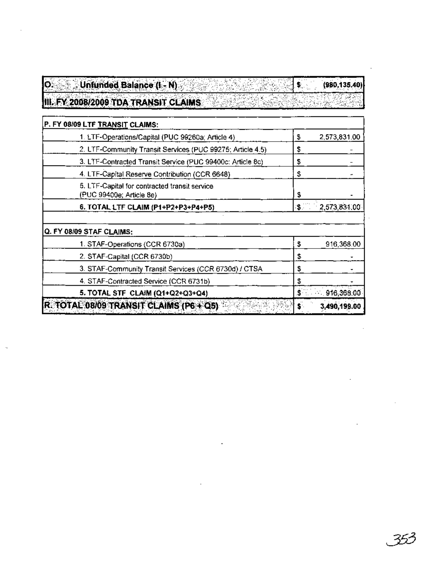| $\overline{\mathbf{o}}$ . | Unfunded Balance (I - N)                                                  |              | (980, 135.40) |
|---------------------------|---------------------------------------------------------------------------|--------------|---------------|
|                           | III. FY 2008/2009 TDA TRANSIT CLAIMS                                      |              |               |
|                           | P. FY 08/09 LTF TRANSIT CLAIMS:                                           |              |               |
|                           | 1. LTF-Operations/Capital (PUC 99260a; Article 4)                         | \$           | 2,573,831.00  |
|                           | 2. LTF-Community Transit Services (PUC 99275; Article 4.5)                | \$           |               |
|                           | 3. LTF-Contracted Transit Service (PUC 99400c: Article 8c)                | \$           |               |
|                           | 4. LTF-Capital Reserve Contribution (CCR 6648)                            | \$           |               |
|                           | 5. LTF-Capital for contracted transit service<br>(PUC 99400e; Article 8e) | \$           |               |
|                           | 6. TOTAL LTF CLAIM (P1+P2+P3+P4+P5)                                       | $\mathbf{3}$ | 2,573,831.00  |
|                           | Q. FY 08/09 STAF CLAIMS:                                                  |              |               |
|                           | 1. STAF-Operations (CCR 6730a)                                            | 3            | 916,368.00    |
|                           | 2. STAF-Capital (CCR 6730b)                                               | \$           |               |
|                           | 3. STAF-Community Transit Services (CCR 6730d) / CTSA                     | \$           |               |
|                           | 4. STAF-Contracted Service (CCR 6731b)                                    | \$           |               |
|                           | 5. TOTAL STF CLAIM (Q1+Q2+Q3+Q4)                                          | \$           | 916,368.00    |
|                           | R. TOTAL 08/09 TRANSIT CLAIMS (P6+Q5)                                     | s.           | 3,490,199.00  |

**Contract Contract** 

 $\mathcal{L}(\mathcal{L}^{\mathcal{L}})$  and  $\mathcal{L}(\mathcal{L}^{\mathcal{L}})$  and  $\mathcal{L}(\mathcal{L}^{\mathcal{L}})$ 

 $\mathcal{L}^{\text{max}}_{\text{max}}$ 

 $\mathbb{Q}$ 

 $\mathcal{L}(\mathcal{L})$  and  $\mathcal{L}(\mathcal{L})$  . As in the  $\mathcal{L}(\mathcal{L})$ 

 $\mathcal{L}_{\text{max}}$  and  $\mathcal{L}_{\text{max}}$ 

 $\mathcal{L}^{\text{max}}_{\text{max}}$  and  $\mathcal{L}^{\text{max}}_{\text{max}}$ 

**Contract Contract** 

 $\mathcal{L}^{\text{max}}_{\text{max}}$  and  $\mathcal{L}^{\text{max}}_{\text{max}}$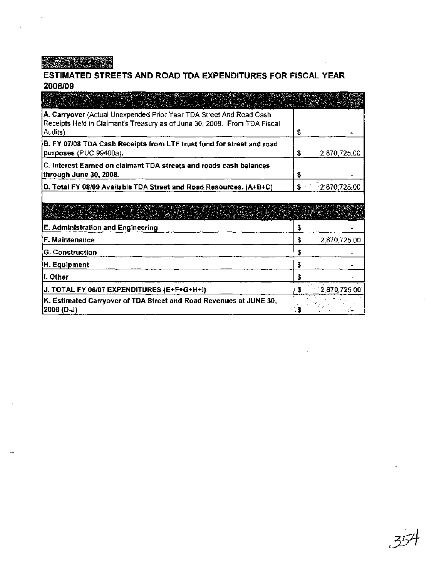**BERTH AND STREET** 

# ESTIMATED STREETS AND ROAD TDA EXPENDITURES FOR FISCAL YEAR 2008/09

| A. Carryover (Actual Unexpended Prior Year TDA Street And Road Cash<br>Receipts Held in Claimant's Treasury as of June 30, 2008. From TDA Fiscal<br>Audits) | \$  |                 |
|-------------------------------------------------------------------------------------------------------------------------------------------------------------|-----|-----------------|
| B. FY 07/08 TDA Cash Receipts from LTF trust fund for street and road<br>purposes (PUC 99400a).                                                             | \$  | 2,870,725.00    |
| C. Interest Earned on claimant TDA streets and roads cash balances<br>through June 30, 2008.                                                                | S   |                 |
| D. Total FY 08/09 Available TDA Street and Road Resources. (A+B+C)                                                                                          | \$۰ | 2,870,725.00    |
| a shekarar 2008 ta 1999 a shekarar 2008 a shekarar 2008 a shekarar 2008 a shekarar 2008 a 2008 a 2008 a 2008                                                |     |                 |
| E. Administration and Engineering                                                                                                                           | \$  |                 |
| F. Maintenance                                                                                                                                              | \$  | 2,870,725.00    |
| G. Construction                                                                                                                                             | \$  |                 |
| H. Equipment                                                                                                                                                | \$  |                 |
| I. Other                                                                                                                                                    | £   |                 |
| J. TOTAL FY 06/07 EXPENDITURES (E+F+G+H+I)                                                                                                                  | s.  | $-2,870,725.00$ |
| K. Estimated Carryover of TDA Street and Road Revenues at JUNE 30,<br>2008 (D-J)                                                                            | з   |                 |

 $\bar{z}$ 

 $\bar{z}$ 

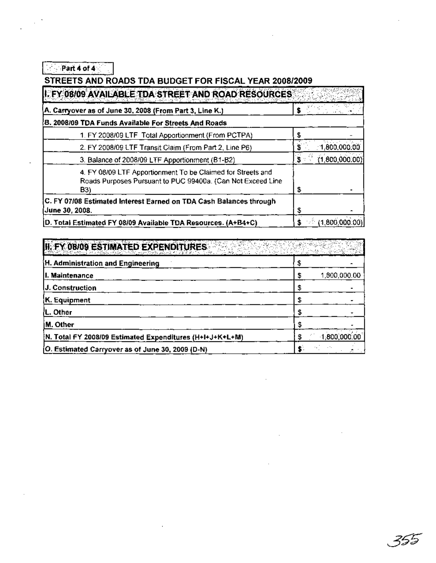$\sqrt{2 \cdot \text{Part 4 of 4}}$ 

#### STREETS AND ROADS TDA BUDGET FOR FISCAL YEAR 2008/2009

| I. FY 08/09 AVAILABLE TDA STREET AND ROAD RESOURCES                                                                               |    |                |
|-----------------------------------------------------------------------------------------------------------------------------------|----|----------------|
| A. Carryover as of June 30, 2008 (From Part 3, Line K.)                                                                           |    |                |
| B. 2008/09 TDA Funds Available For Streets And Roads                                                                              |    |                |
| 1. FY 2008/09 LTF Total Apportionment (From PCTPA)                                                                                |    |                |
| 2. FY 2008/09 LTF Transit Claim (From Part 2, Line P6)                                                                            |    | 1,800,000,00   |
| 3. Balance of 2008/09 LTF Apportionment (B1-B2)                                                                                   | s  | (1,800,000,00) |
| 4. FY 08/09 LTF Apportionment To be Claimed for Streets and<br>Roads Purposes Pursuant to PUC 99400a. (Can Not Exceed Line<br>B3) | \$ |                |
| C. FY 07/08 Estimated Interest Earned on TDA Cash Balances through<br><b>June 30, 2008.</b>                                       | S  |                |
| D. Total Estimated FY 08/09 Available TDA Resources. (A+B4+C)                                                                     |    | (1,800,000.00) |

| II. FY 08/09 ESTIMATED EXPENDITURES                      |              |
|----------------------------------------------------------|--------------|
| H. Administration and Engineering                        |              |
| II. Maintenance                                          | 1,800,000.00 |
| J. Construction                                          |              |
| K. Equipment                                             |              |
| L. Other                                                 |              |
| IM. Other                                                |              |
| N. Total FY 2008/09 Estimated Expenditures (H+I+J+K+L+M) | 1,800,000,00 |
| (O. Estimated Carryover as of June 30, 2009 (D-N)        |              |

 $\sim$  .

355